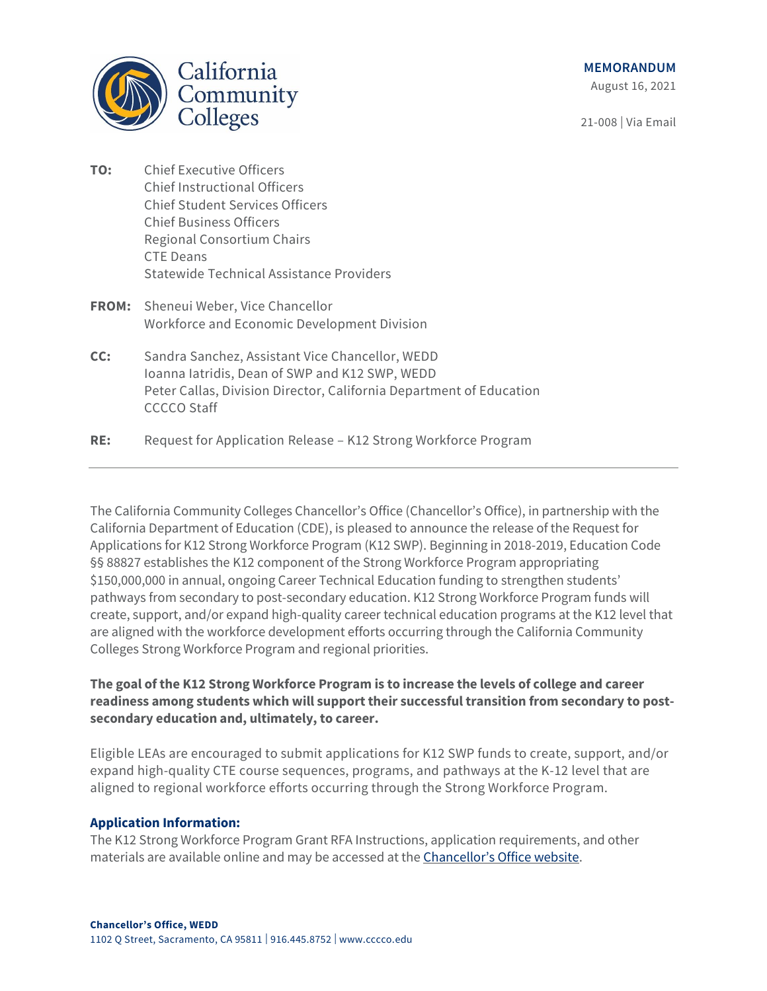

August 16, 2021

21-008 | Via Email

- **TO:** Chief Executive Officers Chief Instructional Officers Chief Student Services Officers Chief Business Officers Regional Consortium Chairs CTE Deans Statewide Technical Assistance Providers
- **FROM:** Sheneui Weber, Vice Chancellor Workforce and Economic Development Division
- **CC:** Sandra Sanchez, Assistant Vice Chancellor, WEDD Ioanna Iatridis, Dean of SWP and K12 SWP, WEDD Peter Callas, Division Director, California Department of Education CCCCO Staff
- **RE:** Request for Application Release K12 Strong Workforce Program

The California Community Colleges Chancellor's Office (Chancellor's Office), in partnership with the California Department of Education (CDE), is pleased to announce the release of the Request for Applications for K12 Strong Workforce Program (K12 SWP). Beginning in 2018-2019, Education Code §§ 88827 establishes the K12 component of the Strong Workforce Program appropriating \$150,000,000 in annual, ongoing Career Technical Education funding to strengthen students' pathways from secondary to post-secondary education. K12 Strong Workforce Program funds will create, support, and/or expand high-quality career technical education programs at the K12 level that are aligned with the workforce development efforts occurring through the California Community Colleges Strong Workforce Program and regional priorities.

## **The goal of the K12 Strong Workforce Program is to increase the levels of college and career readiness among students which will support their successful transition from secondary to postsecondary education and, ultimately, to career.**

Eligible LEAs are encouraged to submit applications for K12 SWP funds to create, support, and/or expand high-quality CTE course sequences, programs, and pathways at the K-12 level that are aligned to regional workforce efforts occurring through the Strong Workforce Program.

## **Application Information:**

The K12 Strong Workforce Program Grant RFA Instructions, application requirements, and other materials are available online and may be accessed at the [Chancellor's Office website](https://www.cccco.edu/About-Us/Chancellors-Office/Divisions/Workforce-and-Economic-Development/K12-Strong-Workforce).